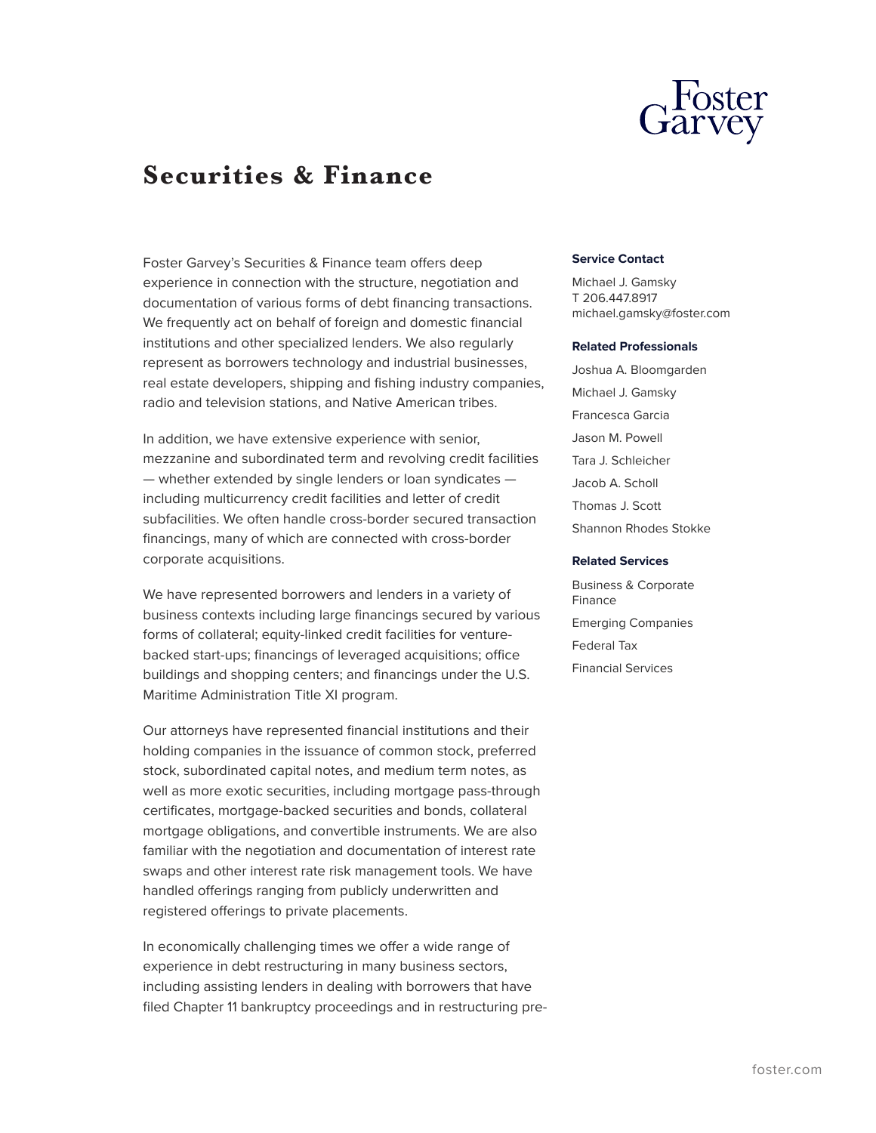

# **Securities & Finance**

Foster Garvey's Securities & Finance team offers deep experience in connection with the structure, negotiation and documentation of various forms of debt financing transactions. We frequently act on behalf of foreign and domestic financial institutions and other specialized lenders. We also regularly represent as borrowers technology and industrial businesses, real estate developers, shipping and fishing industry companies, radio and television stations, and Native American tribes.

In addition, we have extensive experience with senior, mezzanine and subordinated term and revolving credit facilities — whether extended by single lenders or loan syndicates including multicurrency credit facilities and letter of credit subfacilities. We often handle cross-border secured transaction financings, many of which are connected with cross-border corporate acquisitions.

We have represented borrowers and lenders in a variety of business contexts including large financings secured by various forms of collateral; equity-linked credit facilities for venturebacked start-ups; financings of leveraged acquisitions; office buildings and shopping centers; and financings under the U.S. Maritime Administration Title XI program.

Our attorneys have represented financial institutions and their holding companies in the issuance of common stock, preferred stock, subordinated capital notes, and medium term notes, as well as more exotic securities, including mortgage pass-through certificates, mortgage-backed securities and bonds, collateral mortgage obligations, and convertible instruments. We are also familiar with the negotiation and documentation of interest rate swaps and other interest rate risk management tools. We have handled offerings ranging from publicly underwritten and registered offerings to private placements.

In economically challenging times we offer a wide range of experience in debt restructuring in many business sectors, including assisting lenders in dealing with borrowers that have filed Chapter 11 bankruptcy proceedings and in restructuring pre-

### **Service Contact**

Michael J. Gamsky T 206.447.8917 michael.gamsky@foster.com

#### **Related Professionals**

Joshua A. Bloomgarden Michael J. Gamsky Francesca Garcia Jason M. Powell Tara J. Schleicher Jacob A. Scholl Thomas J. Scott Shannon Rhodes Stokke

#### **Related Services**

Business & Corporate Finance Emerging Companies Federal Tax Financial Services